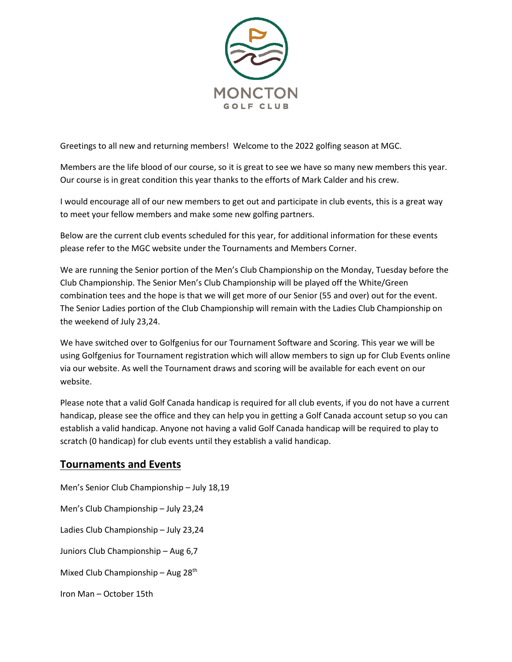

Greetings to all new and returning members! Welcome to the 2022 golfing season at MGC.

Members are the life blood of our course, so it is great to see we have so many new members this year. Our course is in great condition this year thanks to the efforts of Mark Calder and his crew.

I would encourage all of our new members to get out and participate in club events, this is a great way to meet your fellow members and make some new golfing partners.

Below are the current club events scheduled for this year, for additional information for these events please refer to the MGC website under the Tournaments and Members Corner.

We are running the Senior portion of the Men's Club Championship on the Monday, Tuesday before the Club Championship. The Senior Men's Club Championship will be played off the White/Green combination tees and the hope is that we will get more of our Senior (55 and over) out for the event. The Senior Ladies portion of the Club Championship will remain with the Ladies Club Championship on the weekend of July 23,24.

We have switched over to Golfgenius for our Tournament Software and Scoring. This year we will be using Golfgenius for Tournament registration which will allow members to sign up for Club Events online via our website. As well the Tournament draws and scoring will be available for each event on our website.

Please note that a valid Golf Canada handicap is required for all club events, if you do not have a current handicap, please see the office and they can help you in getting a Golf Canada account setup so you can establish a valid handicap. Anyone not having a valid Golf Canada handicap will be required to play to scratch (0 handicap) for club events until they establish a valid handicap.

## **Tournaments and Events**

Men's Senior Club Championship – July 18,19 Men's Club Championship – July 23,24 Ladies Club Championship – July 23,24 Juniors Club Championship – Aug 6,7 Mixed Club Championship – Aug 28th Iron Man – October 15th